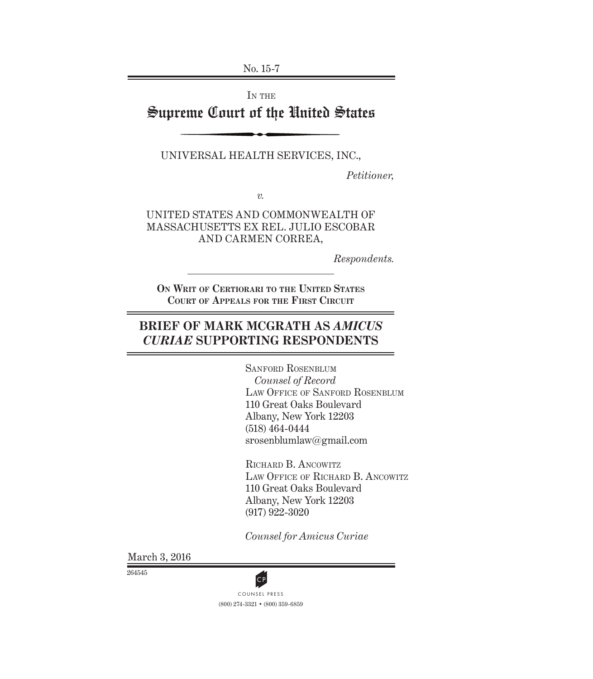No. 15-7

IN THE

# Supreme Court of the United States

UNIVERSAL HEALTH SERVICES, INC.,

*Petitioner,*

*v.*

UNITED STATES AND COMMONWEALTH OF MASSACHUSETTS EX REL. JULIO ESCOBAR AND CARMEN CORREA,

*Respondents.*

**ON WRIT OF CERTIORARI TO THE UNITED STATES COURT OF APPEALS FOR THE FIRST CIRCUIT**

# **BRIEF OF MARK MCGRATH AS** *AMICUS CURIAE* **SUPPORTING RESPONDENTS**

SANFORD ROSENBLUM *Counsel of Record* LAW OFFICE OF SANFORD ROSENBLUM 110 Great Oaks Boulevard Albany, New York 12203 (518) 464-0444 srosenblumlaw@gmail.com

RICHARD B. ANCOWITZ LAW OFFICE OF RICHARD B. ANCOWITZ 110 Great Oaks Boulevard Albany, New York 12203 (917) 922-3020

*Counsel for Amicus Curiae*

March 3, 2016

264545

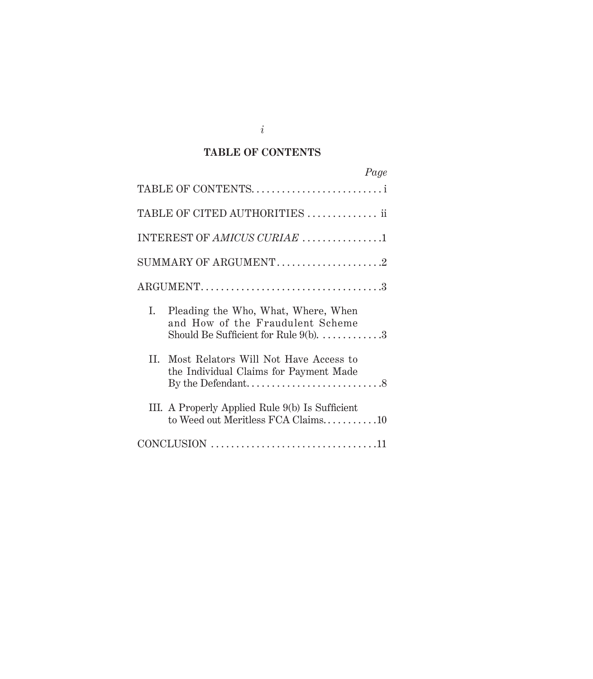## **TABLE OF CONTENTS**

| Page                                                                                                                      |  |
|---------------------------------------------------------------------------------------------------------------------------|--|
| TABLE OF CONTENTS                                                                                                         |  |
| TABLE OF CITED AUTHORITIES  ii                                                                                            |  |
| INTEREST OF AMICUS CURIAE 1                                                                                               |  |
| SUMMARY OF ARGUMENT2                                                                                                      |  |
| $\text{ARGUMENT} \dots \dots \dots \dots \dots \dots \dots \dots \dots \dots \dots \dots \dots 3$                         |  |
| L.<br>Pleading the Who, What, Where, When<br>and How of the Fraudulent Scheme<br>Should Be Sufficient for Rule $9(b)$ . 3 |  |
| II. Most Relators Will Not Have Access to<br>the Individual Claims for Payment Made                                       |  |
| III. A Properly Applied Rule 9(b) Is Sufficient<br>to Weed out Meritless FCA Claims10                                     |  |
|                                                                                                                           |  |

*i*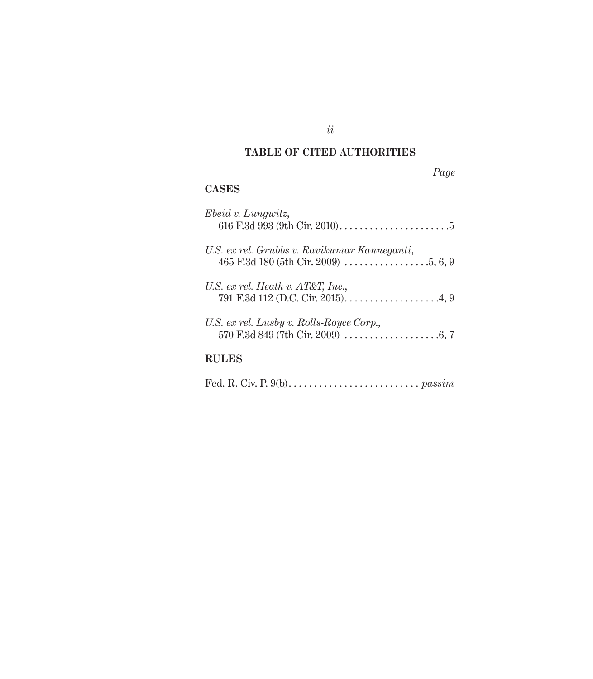## **TABLE OF CITED AUTHORITIES**

## *Page*

## **CASES**

| Ebeid v. Lungwitz,<br>616 F.3d 993 (9th Cir. 2010). $\dots \dots \dots \dots \dots \dots \dots \dots$ |
|-------------------------------------------------------------------------------------------------------|
| U.S. ex rel. Grubbs v. Ravikumar Kanneganti,                                                          |
| U.S. ex rel. Heath v. $AT&T$ , Inc.,                                                                  |
| U.S. ex rel. Lusby v. Rolls-Royce Corp.,                                                              |
|                                                                                                       |

Fed. R. Civ. P. 9(b). . . . . . . . . . . . . . . . . . . . . . . . . . *passim*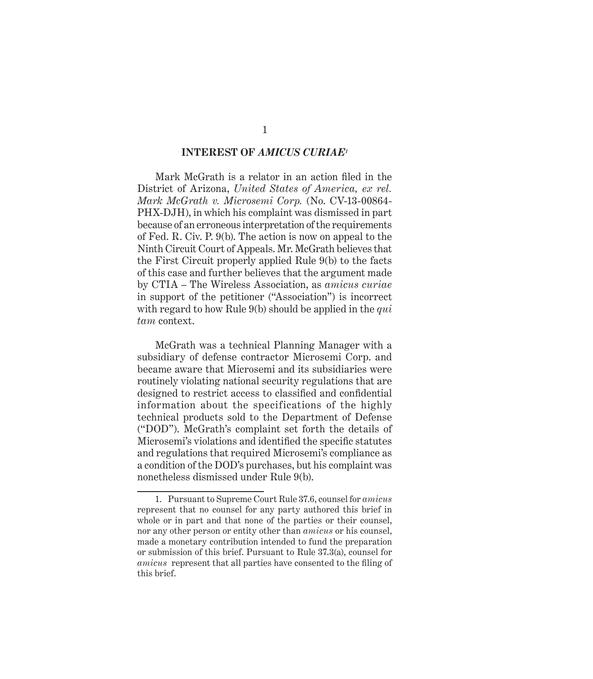#### **INTEREST OF** *AMICUS CURIAE1*

Mark McGrath is a relator in an action filed in the District of Arizona, *United States of America, ex rel. Mark McGrath v. Microsemi Corp.* (No. CV-13-00864- PHX-DJH), in which his complaint was dismissed in part because of an erroneous interpretation of the requirements of Fed. R. Civ. P. 9(b). The action is now on appeal to the Ninth Circuit Court of Appeals. Mr. McGrath believes that the First Circuit properly applied Rule 9(b) to the facts of this case and further believes that the argument made by CTIA – The Wireless Association, as *amicus curiae*  in support of the petitioner ("Association") is incorrect with regard to how Rule 9(b) should be applied in the *qui tam* context.

McGrath was a technical Planning Manager with a subsidiary of defense contractor Microsemi Corp. and became aware that Microsemi and its subsidiaries were routinely violating national security regulations that are designed to restrict access to classified and confidential information about the specifications of the highly technical products sold to the Department of Defense ("DOD"). McGrath's complaint set forth the details of Microsemi's violations and identified the specific statutes and regulations that required Microsemi's compliance as a condition of the DOD's purchases, but his complaint was nonetheless dismissed under Rule 9(b).

<sup>1.</sup> Pursuant to Supreme Court Rule 37.6, counsel for *amicus*  represent that no counsel for any party authored this brief in whole or in part and that none of the parties or their counsel, nor any other person or entity other than *amicus* or his counsel, made a monetary contribution intended to fund the preparation or submission of this brief. Pursuant to Rule 37.3(a), counsel for *amicus* represent that all parties have consented to the filing of this brief.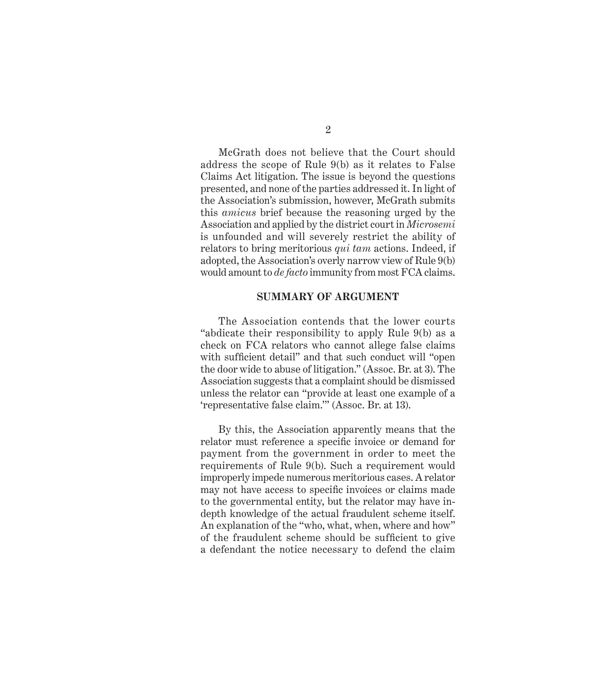McGrath does not believe that the Court should address the scope of Rule 9(b) as it relates to False Claims Act litigation. The issue is beyond the questions presented, and none of the parties addressed it. In light of the Association's submission, however, McGrath submits this *amicus* brief because the reasoning urged by the Association and applied by the district court in *Microsemi* is unfounded and will severely restrict the ability of relators to bring meritorious *qui tam* actions. Indeed, if adopted, the Association's overly narrow view of Rule 9(b) would amount to *de facto* immunity from most FCA claims.

#### **SUMMARY OF ARGUMENT**

The Association contends that the lower courts "abdicate their responsibility to apply Rule 9(b) as a check on FCA relators who cannot allege false claims with sufficient detail" and that such conduct will "open the door wide to abuse of litigation." (Assoc. Br. at 3). The Association suggests that a complaint should be dismissed unless the relator can "provide at least one example of a 'representative false claim.'" (Assoc. Br. at 13).

By this, the Association apparently means that the relator must reference a specific invoice or demand for payment from the government in order to meet the requirements of Rule 9(b). Such a requirement would improperly impede numerous meritorious cases. A relator may not have access to specific invoices or claims made to the governmental entity, but the relator may have indepth knowledge of the actual fraudulent scheme itself. An explanation of the "who, what, when, where and how" of the fraudulent scheme should be sufficient to give a defendant the notice necessary to defend the claim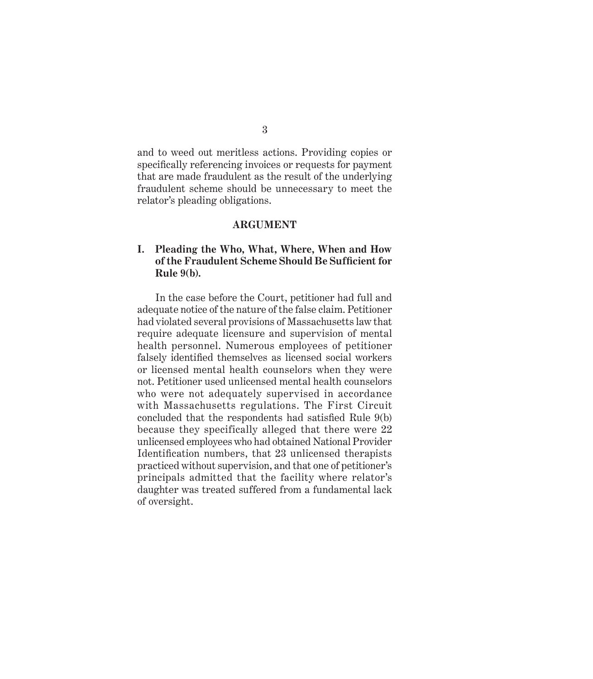and to weed out meritless actions. Providing copies or specifically referencing invoices or requests for payment that are made fraudulent as the result of the underlying fraudulent scheme should be unnecessary to meet the relator's pleading obligations.

#### **ARGUMENT**

### **I. Pleading the Who, What, Where, When and How of the Fraudulent Scheme Should Be Suffi cient for Rule 9(b).**

In the case before the Court, petitioner had full and adequate notice of the nature of the false claim. Petitioner had violated several provisions of Massachusetts law that require adequate licensure and supervision of mental health personnel. Numerous employees of petitioner falsely identified themselves as licensed social workers or licensed mental health counselors when they were not. Petitioner used unlicensed mental health counselors who were not adequately supervised in accordance with Massachusetts regulations. The First Circuit concluded that the respondents had satisfied Rule  $9(b)$ because they specifically alleged that there were 22 unlicensed employees who had obtained National Provider Identification numbers, that 23 unlicensed therapists practiced without supervision, and that one of petitioner's principals admitted that the facility where relator's daughter was treated suffered from a fundamental lack of oversight.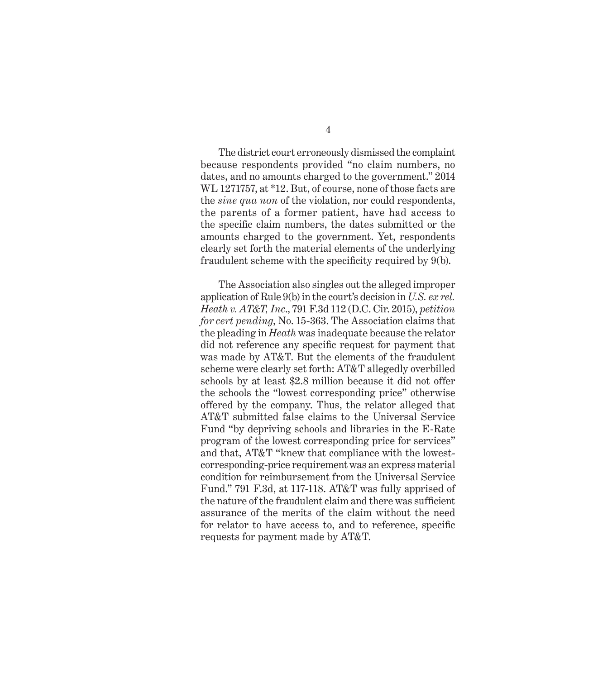The district court erroneously dismissed the complaint because respondents provided "no claim numbers, no dates, and no amounts charged to the government." 2014 WL 1271757, at \*12. But, of course, none of those facts are the *sine qua non* of the violation, nor could respondents, the parents of a former patient, have had access to the specific claim numbers, the dates submitted or the amounts charged to the government. Yet, respondents clearly set forth the material elements of the underlying fraudulent scheme with the specificity required by  $9(b)$ .

The Association also singles out the alleged improper application of Rule 9(b) in the court's decision in *U.S. ex rel. Heath v. AT&T, Inc*., 791 F.3d 112 (D.C. Cir. 2015), *petition for cert pending*, No. 15-363. The Association claims that the pleading in *Heath* was inadequate because the relator did not reference any specific request for payment that was made by AT&T. But the elements of the fraudulent scheme were clearly set forth: AT&T allegedly overbilled schools by at least \$2.8 million because it did not offer the schools the "lowest corresponding price" otherwise offered by the company. Thus, the relator alleged that AT&T submitted false claims to the Universal Service Fund "by depriving schools and libraries in the E-Rate program of the lowest corresponding price for services" and that, AT&T "knew that compliance with the lowestcorresponding-price requirement was an express material condition for reimbursement from the Universal Service Fund." 791 F.3d, at 117-118. AT&T was fully apprised of the nature of the fraudulent claim and there was sufficient assurance of the merits of the claim without the need for relator to have access to, and to reference, specific requests for payment made by AT&T.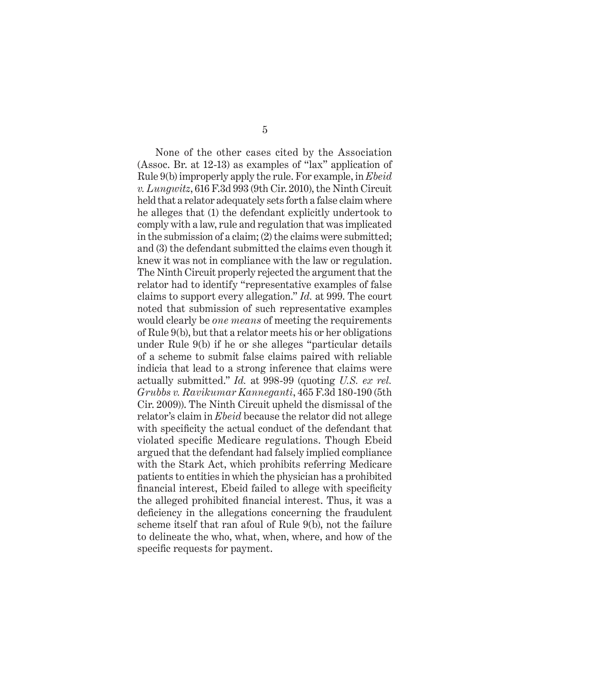None of the other cases cited by the Association (Assoc. Br. at 12-13) as examples of "lax" application of Rule 9(b) improperly apply the rule. For example, in *Ebeid v. Lungwitz*, 616 F.3d 993 (9th Cir. 2010), the Ninth Circuit held that a relator adequately sets forth a false claim where he alleges that (1) the defendant explicitly undertook to comply with a law, rule and regulation that was implicated in the submission of a claim; (2) the claims were submitted; and (3) the defendant submitted the claims even though it knew it was not in compliance with the law or regulation. The Ninth Circuit properly rejected the argument that the relator had to identify "representative examples of false claims to support every allegation." *Id.* at 999. The court noted that submission of such representative examples would clearly be *one means* of meeting the requirements of Rule 9(b), but that a relator meets his or her obligations under Rule 9(b) if he or she alleges "particular details of a scheme to submit false claims paired with reliable indicia that lead to a strong inference that claims were actually submitted." *Id.* at 998-99 (quoting *U.S. ex rel. Grubbs v. Ravikumar Kanneganti*, 465 F.3d 180-190 (5th Cir. 2009)). The Ninth Circuit upheld the dismissal of the relator's claim in *Ebeid* because the relator did not allege with specificity the actual conduct of the defendant that violated specific Medicare regulations. Though Ebeid argued that the defendant had falsely implied compliance with the Stark Act, which prohibits referring Medicare patients to entities in which the physician has a prohibited financial interest, Ebeid failed to allege with specificity the alleged prohibited financial interest. Thus, it was a deficiency in the allegations concerning the fraudulent scheme itself that ran afoul of Rule 9(b), not the failure to delineate the who, what, when, where, and how of the specific requests for payment.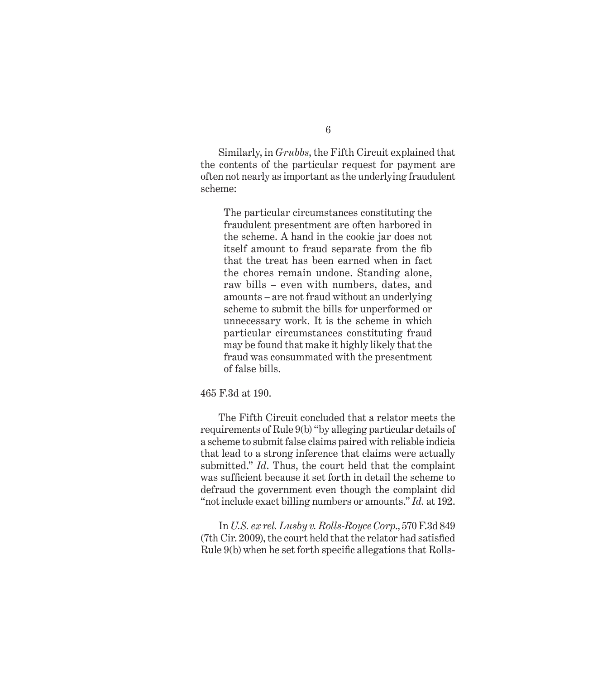Similarly, in *Grubbs*, the Fifth Circuit explained that the contents of the particular request for payment are often not nearly as important as the underlying fraudulent scheme:

The particular circumstances constituting the fraudulent presentment are often harbored in the scheme. A hand in the cookie jar does not itself amount to fraud separate from the fib that the treat has been earned when in fact the chores remain undone. Standing alone, raw bills – even with numbers, dates, and amounts – are not fraud without an underlying scheme to submit the bills for unperformed or unnecessary work. It is the scheme in which particular circumstances constituting fraud may be found that make it highly likely that the fraud was consummated with the presentment of false bills.

#### 465 F.3d at 190.

The Fifth Circuit concluded that a relator meets the requirements of Rule 9(b) "by alleging particular details of a scheme to submit false claims paired with reliable indicia that lead to a strong inference that claims were actually submitted." *Id*. Thus, the court held that the complaint was sufficient because it set forth in detail the scheme to defraud the government even though the complaint did "not include exact billing numbers or amounts." *Id.* at 192.

In *U.S. ex rel. Lusby v. Rolls-Royce Corp*., 570 F.3d 849 (7th Cir. 2009), the court held that the relator had satisfied Rule  $9(b)$  when he set forth specific allegations that Rolls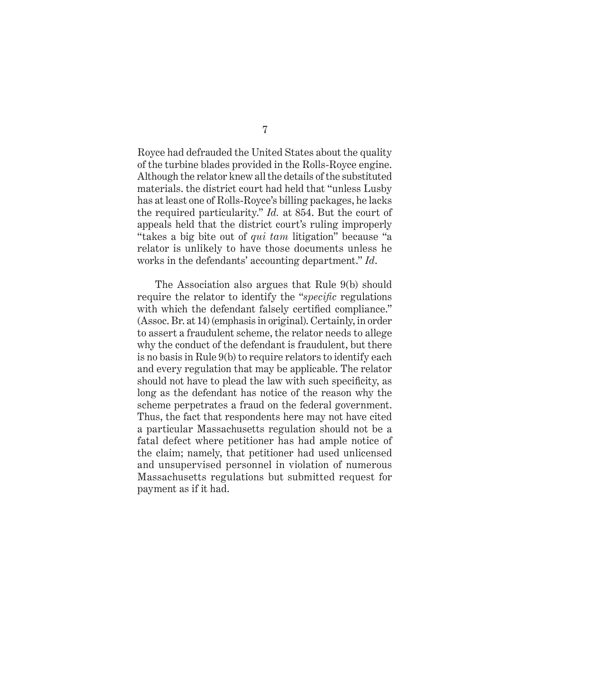Royce had defrauded the United States about the quality of the turbine blades provided in the Rolls-Royce engine. Although the relator knew all the details of the substituted materials. the district court had held that "unless Lusby has at least one of Rolls-Royce's billing packages, he lacks the required particularity." *Id.* at 854. But the court of appeals held that the district court's ruling improperly "takes a big bite out of *qui tam* litigation" because "a relator is unlikely to have those documents unless he works in the defendants' accounting department." *Id*.

The Association also argues that Rule 9(b) should require the relator to identify the "*specific* regulations with which the defendant falsely certified compliance." (Assoc. Br. at 14) (emphasis in original). Certainly, in order to assert a fraudulent scheme, the relator needs to allege why the conduct of the defendant is fraudulent, but there is no basis in Rule 9(b) to require relators to identify each and every regulation that may be applicable. The relator should not have to plead the law with such specificity, as long as the defendant has notice of the reason why the scheme perpetrates a fraud on the federal government. Thus, the fact that respondents here may not have cited a particular Massachusetts regulation should not be a fatal defect where petitioner has had ample notice of the claim; namely, that petitioner had used unlicensed and unsupervised personnel in violation of numerous Massachusetts regulations but submitted request for payment as if it had.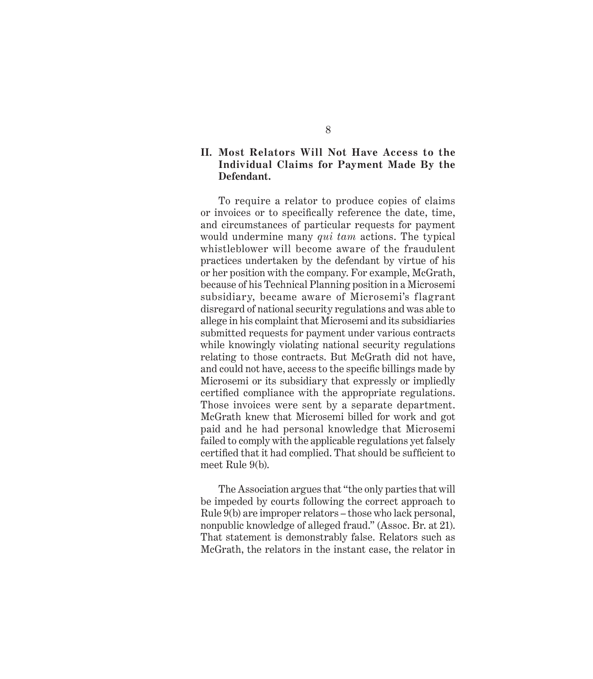### **II. Most Relators Will Not Have Access to the Individual Claims for Payment Made By the Defendant.**

To require a relator to produce copies of claims or invoices or to specifically reference the date, time, and circumstances of particular requests for payment would undermine many *qui tam* actions. The typical whistleblower will become aware of the fraudulent practices undertaken by the defendant by virtue of his or her position with the company. For example, McGrath, because of his Technical Planning position in a Microsemi subsidiary, became aware of Microsemi's flagrant disregard of national security regulations and was able to allege in his complaint that Microsemi and its subsidiaries submitted requests for payment under various contracts while knowingly violating national security regulations relating to those contracts. But McGrath did not have, and could not have, access to the specific billings made by Microsemi or its subsidiary that expressly or impliedly certified compliance with the appropriate regulations. Those invoices were sent by a separate department. McGrath knew that Microsemi billed for work and got paid and he had personal knowledge that Microsemi failed to comply with the applicable regulations yet falsely certified that it had complied. That should be sufficient to meet Rule 9(b).

The Association argues that "the only parties that will be impeded by courts following the correct approach to Rule 9(b) are improper relators – those who lack personal, nonpublic knowledge of alleged fraud." (Assoc. Br. at 21). That statement is demonstrably false. Relators such as McGrath, the relators in the instant case, the relator in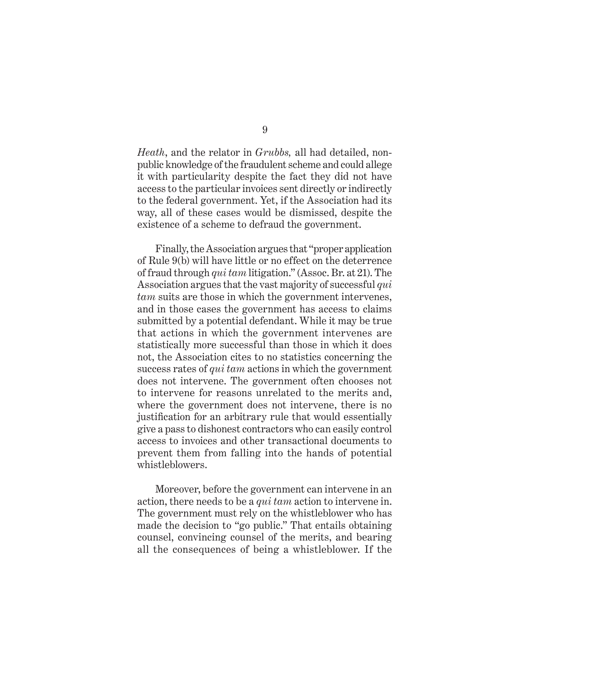*Heath*, and the relator in *Grubbs,* all had detailed, nonpublic knowledge of the fraudulent scheme and could allege it with particularity despite the fact they did not have access to the particular invoices sent directly or indirectly to the federal government. Yet, if the Association had its way, all of these cases would be dismissed, despite the existence of a scheme to defraud the government.

Finally, the Association argues that "proper application of Rule 9(b) will have little or no effect on the deterrence of fraud through *qui tam* litigation." (Assoc. Br. at 21). The Association argues that the vast majority of successful *qui tam* suits are those in which the government intervenes, and in those cases the government has access to claims submitted by a potential defendant. While it may be true that actions in which the government intervenes are statistically more successful than those in which it does not, the Association cites to no statistics concerning the success rates of *qui tam* actions in which the government does not intervene. The government often chooses not to intervene for reasons unrelated to the merits and, where the government does not intervene, there is no justification for an arbitrary rule that would essentially give a pass to dishonest contractors who can easily control access to invoices and other transactional documents to prevent them from falling into the hands of potential whistleblowers.

Moreover, before the government can intervene in an action, there needs to be a *qui tam* action to intervene in. The government must rely on the whistleblower who has made the decision to "go public." That entails obtaining counsel, convincing counsel of the merits, and bearing all the consequences of being a whistleblower. If the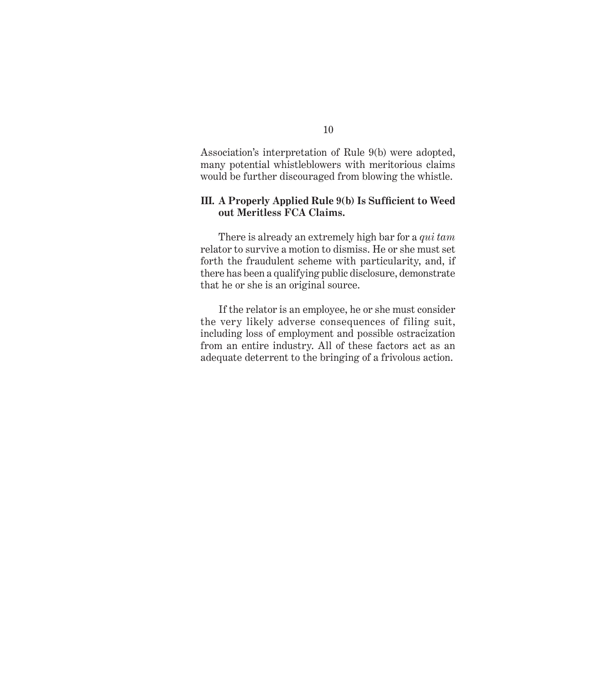Association's interpretation of Rule 9(b) were adopted, many potential whistleblowers with meritorious claims would be further discouraged from blowing the whistle.

#### **III.** A Properly Applied Rule 9(b) Is Sufficient to Weed **out Meritless FCA Claims.**

There is already an extremely high bar for a *qui tam* relator to survive a motion to dismiss. He or she must set forth the fraudulent scheme with particularity, and, if there has been a qualifying public disclosure, demonstrate that he or she is an original source.

If the relator is an employee, he or she must consider the very likely adverse consequences of filing suit, including loss of employment and possible ostracization from an entire industry. All of these factors act as an adequate deterrent to the bringing of a frivolous action.